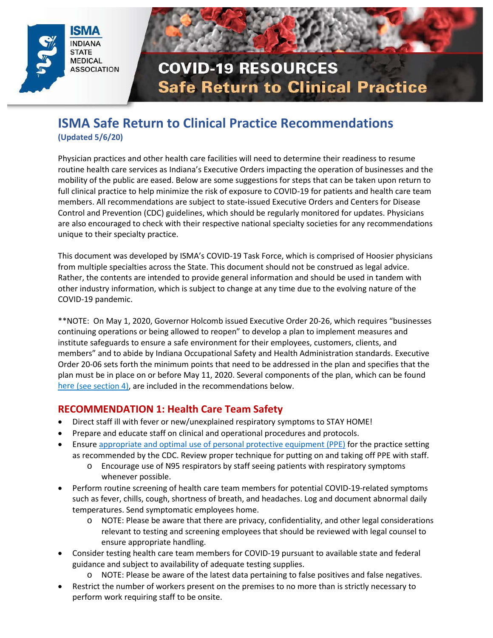



### **ISMA Safe Return to Clinical Practice Recommendations (Updated 5/6/20)**

Physician practices and other health care facilities will need to determine their readiness to resume routine health care services as Indiana's Executive Orders impacting the operation of businesses and the mobility of the public are eased. Below are some suggestions for steps that can be taken upon return to full clinical practice to help minimize the risk of exposure to COVID-19 for patients and health care team members. All recommendations are subject to state-issued Executive Orders and Centers for Disease Control and Prevention (CDC) guidelines, which should be regularly monitored for updates. Physicians are also encouraged to check with their respective national specialty societies for any recommendations unique to their specialty practice.

This document was developed by ISMA's COVID-19 Task Force, which is comprised of Hoosier physicians from multiple specialties across the State. This document should not be construed as legal advice. Rather, the contents are intended to provide general information and should be used in tandem with other industry information, which is subject to change at any time due to the evolving nature of the COVID-19 pandemic.

\*\*NOTE: On May 1, 2020, Governor Holcomb issued Executive Order 20-26, which requires "businesses continuing operations or being allowed to reopen" to develop a plan to implement measures and institute safeguards to ensure a safe environment for their employees, customers, clients, and members" and to abide by Indiana Occupational Safety and Health Administration standards. Executive Order 20-06 sets forth the minimum points that need to be addressed in the plan and specifies that the plan must be in place on or before May 11, 2020. Several components of the plan, which can be found [here](https://www.in.gov/gov/files/Executive%20Order%2020-26%20Roadmap%20to%20Reopen%20Indiana.pdf) (see section 4), are included in the recommendations below.

#### **RECOMMENDATION 1: Health Care Team Safety**

- Direct staff ill with fever or new/unexplained respiratory symptoms to STAY HOME!
- Prepare and educate staff on clinical and operational procedures and protocols.
- Ensure [appropriate and optimal use of personal protective equipment \(PPE\)](https://www.cdc.gov/coronavirus/2019-ncov/hcp/ppe-strategy/index.html?CDC_AA_refVal=https%3A%2F%2Fwww.cdc.gov%2Fcoronavirus%2F2019-ncov%2Fhcp%2Fhealthcare-supply-ppe.html) for the practice setting as recommended by the CDC. Review proper technique for putting on and taking off PPE with staff.
	- o Encourage use of N95 respirators by staff seeing patients with respiratory symptoms whenever possible.
- Perform routine screening of health care team members for potential COVID-19-related symptoms such as fever, chills, cough, shortness of breath, and headaches. Log and document abnormal daily temperatures. Send symptomatic employees home.
	- $\circ$  NOTE: Please be aware that there are privacy, confidentiality, and other legal considerations relevant to testing and screening employees that should be reviewed with legal counsel to ensure appropriate handling.
- Consider testing health care team members for COVID-19 pursuant to available state and federal guidance and subject to availability of adequate testing supplies.
	- o NOTE: Please be aware of the latest data pertaining to false positives and false negatives.
- Restrict the number of workers present on the premises to no more than is strictly necessary to perform work requiring staff to be onsite.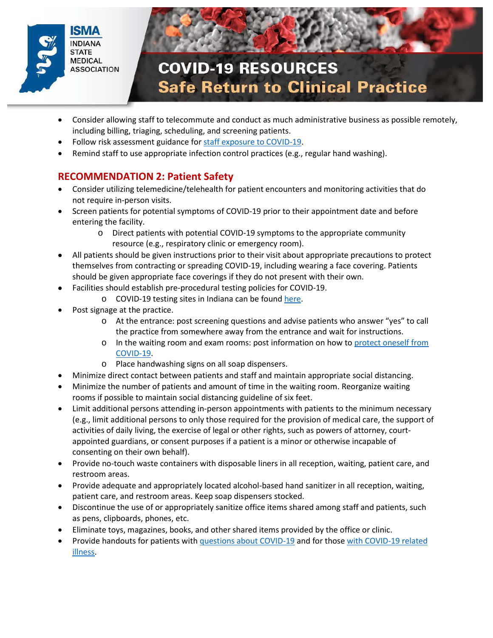



- Consider allowing staff to telecommute and conduct as much administrative business as possible remotely, including billing, triaging, scheduling, and screening patients.
- Follow risk assessment guidance for [staff exposure to COVID-19.](https://www.cdc.gov/coronavirus/2019-ncov/hcp/guidance-risk-assesment-hcp.html)
- Remind staff to use appropriate infection control practices (e.g., regular hand washing).

### **RECOMMENDATION 2: Patient Safety**

- Consider utilizing telemedicine/telehealth for patient encounters and monitoring activities that do not require in-person visits.
- Screen patients for potential symptoms of COVID-19 prior to their appointment date and before entering the facility.
	- o Direct patients with potential COVID-19 symptoms to the appropriate community resource (e.g., respiratory clinic or emergency room).
- All patients should be given instructions prior to their visit about appropriate precautions to protect themselves from contracting or spreading COVID-19, including wearing a face covering. Patients should be given appropriate face coverings if they do not present with their own.
- Facilities should establish pre-procedural testing policies for COVID-19.
	- o COVID-19 testing sites in Indiana can be found [here.](https://isdh.maps.arcgis.com/apps/webappviewer/index.html?id=fa61af71d4474e62b2408647d1624817)
- Post signage at the practice.
	- o At the entrance: post screening questions and advise patients who answer "yes" to call the practice from somewhere away from the entrance and wait for instructions.
	- o In the waiting room and exam rooms: post information on how to [protect oneself from](https://www.cdc.gov/coronavirus/2019-ncov/downloads/stop-the-spread-of-germs.pdf)  [COVID-19.](https://www.cdc.gov/coronavirus/2019-ncov/downloads/stop-the-spread-of-germs.pdf)
	- o Place handwashing signs on all soap dispensers.
- Minimize direct contact between patients and staff and maintain appropriate social distancing.
- Minimize the number of patients and amount of time in the waiting room. Reorganize waiting rooms if possible to maintain social distancing guideline of six feet.
- Limit additional persons attending in-person appointments with patients to the minimum necessary (e.g., limit additional persons to only those required for the provision of medical care, the support of activities of daily living, the exercise of legal or other rights, such as powers of attorney, courtappointed guardians, or consent purposes if a patient is a minor or otherwise incapable of consenting on their own behalf).
- Provide no-touch waste containers with disposable liners in all reception, waiting, patient care, and restroom areas.
- Provide adequate and appropriately located alcohol-based hand sanitizer in all reception, waiting, patient care, and restroom areas. Keep soap dispensers stocked.
- Discontinue the use of or appropriately sanitize office items shared among staff and patients, such as pens, clipboards, phones, etc.
- Eliminate toys, magazines, books, and other shared items provided by the office or clinic.
- Provide handouts for patients with [questions about COVID-19](https://mcusercontent.com/f5eb710db3/files/e46fbad2-f9a1-4ea3-ad75-9d874eb16767/FS_COVID19CD_FINAL04022020.pdf) and for those with COVID-19 related [illness.](https://www.cdc.gov/coronavirus/2019-ncov/if-you-are-sick/index.html)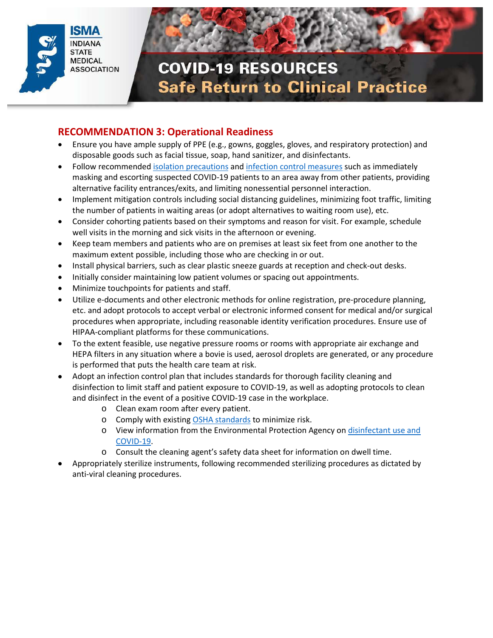



### **RECOMMENDATION 3: Operational Readiness**

- Ensure you have ample supply of PPE (e.g., gowns, goggles, gloves, and respiratory protection) and disposable goods such as facial tissue, soap, hand sanitizer, and disinfectants.
- Follow recommended [isolation precautions](https://www.cdc.gov/infectioncontrol/guidelines/isolation/index.html) an[d infection control measures](https://www.cdc.gov/coronavirus/2019-ncov/hcp/infection-control-recommendations.html?CDC_AA_refVal=https%3A%2F%2Fwww.cdc.gov%2Fcoronavirus%2F2019-ncov%2Finfection-control%2Fcontrol-recommendations.html) such as immediately masking and escorting suspected COVID-19 patients to an area away from other patients, providing alternative facility entrances/exits, and limiting nonessential personnel interaction.
- Implement mitigation controls including social distancing guidelines, minimizing foot traffic, limiting the number of patients in waiting areas (or adopt alternatives to waiting room use), etc.
- Consider cohorting patients based on their symptoms and reason for visit. For example, schedule well visits in the morning and sick visits in the afternoon or evening.
- Keep team members and patients who are on premises at least six feet from one another to the maximum extent possible, including those who are checking in or out.
- Install physical barriers, such as clear plastic sneeze guards at reception and check-out desks.
- Initially consider maintaining low patient volumes or spacing out appointments.
- Minimize touchpoints for patients and staff.
- Utilize e-documents and other electronic methods for online registration, pre-procedure planning, etc. and adopt protocols to accept verbal or electronic informed consent for medical and/or surgical procedures when appropriate, including reasonable identity verification procedures. Ensure use of HIPAA-compliant platforms for these communications.
- To the extent feasible, use negative pressure rooms or rooms with appropriate air exchange and HEPA filters in any situation where a bovie is used, aerosol droplets are generated, or any procedure is performed that puts the health care team at risk.
- Adopt an infection control plan that includes standards for thorough facility cleaning and disinfection to limit staff and patient exposure to COVID-19, as well as adopting protocols to clean and disinfect in the event of a positive COVID-19 case in the workplace.
	- o Clean exam room after every patient.
	- o Comply with existing [OSHA standards](https://www.osha.gov/SLTC/covid-19/standards.html) to minimize risk.
	- o View information from the Environmental Protection Agency on [disinfectant use and](https://www.epa.gov/coronavirus/disinfectant-use-and-coronavirus-covid-19)  [COVID-19.](https://www.epa.gov/coronavirus/disinfectant-use-and-coronavirus-covid-19)
	- o Consult the cleaning agent's safety data sheet for information on dwell time.
- Appropriately sterilize instruments, following recommended sterilizing procedures as dictated by anti-viral cleaning procedures.